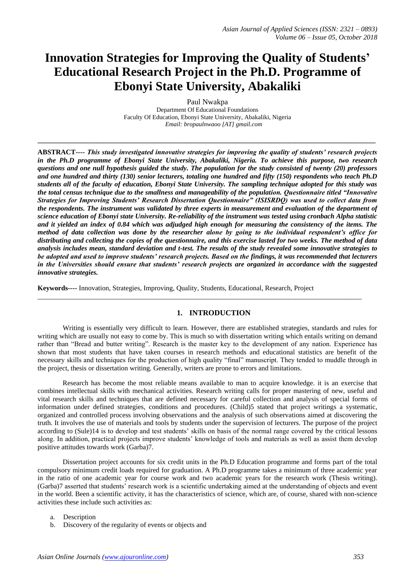# **Innovation Strategies for Improving the Quality of Students' Educational Research Project in the Ph.D. Programme of Ebonyi State University, Abakaliki**

Paul Nwakpa Department Of Educational Foundations Faculty Of Education, Ebonyi State University, Abakaliki, Nigeria *Email: bropaulnwaoo [\[AT\] gmail.com](mailto:bropaulnwaoo@gmail.com)*

**\_\_\_\_\_\_\_\_\_\_\_\_\_\_\_\_\_\_\_\_\_\_\_\_\_\_\_\_\_\_\_\_\_\_\_\_\_\_\_\_\_\_\_\_\_\_\_\_\_\_\_\_\_\_\_\_\_\_\_\_\_\_\_\_\_\_\_\_\_\_\_\_\_\_\_\_\_\_\_\_\_\_\_\_\_\_\_\_\_\_\_\_\_\_\_\_\_**

**ABSTRACT----** *This study investigated innovative strategies for improving the quality of students' research projects in the Ph.D programme of Ebonyi State University, Abakaliki, Nigeria. To achieve this purpose, two research questions and one null hypothesis guided the study. The population for the study consisted of twenty (20) professors and one hundred and thirty (130) senior lecturers, totaling one hundred and fifty (150) respondents who teach Ph.D students all of the faculty of education, Ebonyi State University. The sampling technique adopted for this study was the total census technique due to the smallness and manageability of the population. Questionnaire titled "Innovative Strategies for Improving Students' Research Dissertation Questionnaire" (ISISRDQ) was used to collect data from the respondents. The instrument was validated by three experts in measurement and evaluation of the department of science education of Ebonyi state University. Re-reliability of the instrument was tested using cronbach Alpha statistic and it yielded an index of 0.84 which was adjudged high enough for measuring the consistency of the items. The method of data collection was done by the researcher alone by going to the individual respondent's office for distributing and collecting the copies of the questionnaire, and this exercise lasted for two weeks. The method of data analysis includes mean, standard deviation and t-test. The results of the study revealed some innovative strategies to be adopted and used to improve students' research projects. Based on the findings, it was recommended that lecturers in the Universities should ensure that students' research projects are organized in accordance with the suggested innovative strategies.* 

**Keywords----** Innovation, Strategies, Improving, Quality, Students, Educational, Research, Project

#### **1. INTRODUCTION**

\_\_\_\_\_\_\_\_\_\_\_\_\_\_\_\_\_\_\_\_\_\_\_\_\_\_\_\_\_\_\_\_\_\_\_\_\_\_\_\_\_\_\_\_\_\_\_\_\_\_\_\_\_\_\_\_\_\_\_\_\_\_\_\_\_\_\_\_\_\_\_\_\_\_\_\_\_\_\_\_\_\_\_\_\_\_\_\_\_\_\_\_\_

Writing is essentially very difficult to learn. However, there are established strategies, standards and rules for writing which are usually not easy to come by. This is much so with dissertation writing which entails writing on demand rather than "Bread and butter writing". Research is the master key to the development of any nation. Experience has shown that most students that have taken courses in research methods and educational statistics are benefit of the necessary skills and techniques for the production of high quality "final" manuscript. They tended to muddle through in the project, thesis or dissertation writing. Generally, writers are prone to errors and limitations.

Research has become the most reliable means available to man to acquire knowledge. it is an exercise that combines intellectual skills with mechanical activities. Research writing calls for proper mastering of new, useful and vital research skills and techniques that are defined necessary for careful collection and analysis of special forms of information under defined strategies, conditions and procedures. (Child)5 stated that project writings a systematic, organized and controlled process involving observations and the analysis of such observations aimed at discovering the truth. It involves the use of materials and tools by students under the supervision of lecturers. The purpose of the project according to (Sule)14 is to develop and test students' skills on basis of the normal range covered by the critical lessons along. In addition, practical projects improve students' knowledge of tools and materials as well as assist them develop positive attitudes towards work (Garba)7.

Dissertation project accounts for six credit units in the Ph.D Education programme and forms part of the total compulsory minimum credit loads required for graduation. A Ph.D programme takes a minimum of three academic year in the ratio of one academic year for course work and two academic years for the research work (Thesis writing). (Garba)7 asserted that students' research work is a scientific undertaking aimed at the understanding of objects and event in the world. Been a scientific activity, it has the characteristics of science, which are, of course, shared with non-science activities these include such activities as:

a. Description

b. Discovery of the regularity of events or objects and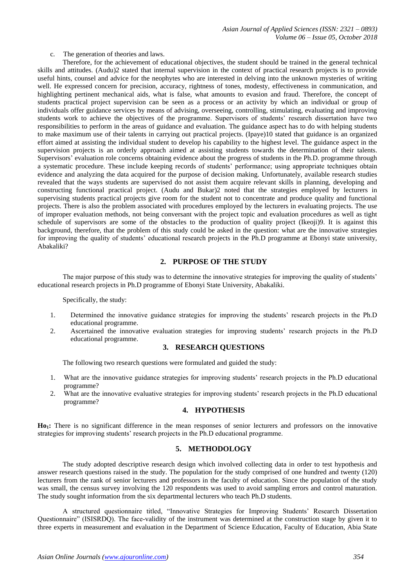c. The generation of theories and laws.

Therefore, for the achievement of educational objectives, the student should be trained in the general technical skills and attitudes. (Audu)2 stated that internal supervision in the context of practical research projects is to provide useful hints, counsel and advice for the neophytes who are interested in delving into the unknown mysteries of writing well. He expressed concern for precision, accuracy, rightness of tones, modesty, effectiveness in communication, and highlighting pertinent mechanical aids, what is false, what amounts to evasion and fraud. Therefore, the concept of students practical project supervision can be seen as a process or an activity by which an individual or group of individuals offer guidance services by means of advising, overseeing, controlling, stimulating, evaluating and improving students work to achieve the objectives of the programme. Supervisors of students' research dissertation have two responsibilities to perform in the areas of guidance and evaluation. The guidance aspect has to do with helping students to make maximum use of their talents in carrying out practical projects. (Ipaye)10 stated that guidance is an organized effort aimed at assisting the individual student to develop his capability to the highest level. The guidance aspect in the supervision projects is an orderly approach aimed at assisting students towards the determination of their talents. Supervisors' evaluation role concerns obtaining evidence about the progress of students in the Ph.D. programme through a systematic procedure. These include keeping records of students' performance; using appropriate techniques obtain evidence and analyzing the data acquired for the purpose of decision making. Unfortunately, available research studies revealed that the ways students are supervised do not assist them acquire relevant skills in planning, developing and constructing functional practical project. (Audu and Bukar)2 noted that the strategies employed by lecturers in supervising students practical projects give room for the student not to concentrate and produce quality and functional projects. There is also the problem associated with procedures employed by the lecturers in evaluating projects. The use of improper evaluation methods, not being conversant with the project topic and evaluation procedures as well as tight schedule of supervisors are some of the obstacles to the production of quality project (Ikeoji)9. It is against this background, therefore, that the problem of this study could be asked in the question: what are the innovative strategies for improving the quality of students' educational research projects in the Ph.D programme at Ebonyi state university, Abakaliki?

## **2. PURPOSE OF THE STUDY**

The major purpose of this study was to determine the innovative strategies for improving the quality of students' educational research projects in Ph.D programme of Ebonyi State University, Abakaliki.

Specifically, the study:

- 1. Determined the innovative guidance strategies for improving the students' research projects in the Ph.D educational programme.
- 2. Ascertained the innovative evaluation strategies for improving students' research projects in the Ph.D educational programme.

#### **3. RESEARCH QUESTIONS**

The following two research questions were formulated and guided the study:

- 1. What are the innovative guidance strategies for improving students' research projects in the Ph.D educational programme?
- 2. What are the innovative evaluative strategies for improving students' research projects in the Ph.D educational programme?

#### **4. HYPOTHESIS**

**Ho1:** There is no significant difference in the mean responses of senior lecturers and professors on the innovative strategies for improving students' research projects in the Ph.D educational programme.

#### **5. METHODOLOGY**

The study adopted descriptive research design which involved collecting data in order to test hypothesis and answer research questions raised in the study. The population for the study comprised of one hundred and twenty (120) lecturers from the rank of senior lecturers and professors in the faculty of education. Since the population of the study was small, the census survey involving the 120 respondents was used to avoid sampling errors and control maturation. The study sought information from the six departmental lecturers who teach Ph.D students.

A structured questionnaire titled, "Innovative Strategies for Improving Students' Research Dissertation Questionnaire" (ISISRDQ). The face-validity of the instrument was determined at the construction stage by given it to three experts in measurement and evaluation in the Department of Science Education, Faculty of Education, Abia State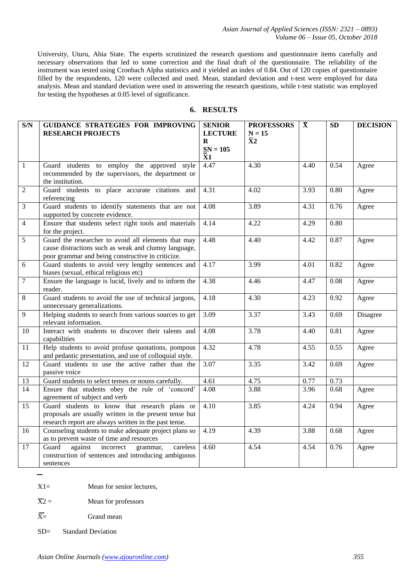*Asian Journal of Applied Sciences (ISSN: 2321 – 0893) Volume 06 – Issue 05, October 2018*

University, Uturu, Abia State. The experts scrutinized the research questions and questionnaire items carefully and necessary observations that led to some correction and the final draft of the questionnaire. The reliability of the instrument was tested using Cronbach Alpha statistics and it yielded an index of 0.84. Out of 120 copies of questionnaire filled by the respondents, 120 were collected and used. Mean, standard deviation and t-test were employed for data analysis. Mean and standard deviation were used in answering the research questions, while t-test statistic was employed for testing the hypotheses at 0.05 level of significance.

| 6. | <b>RESULTS</b> |
|----|----------------|
|    |                |

| S/N             | GUIDANCE STRATEGIES FOR IMPROVING<br><b>RESEARCH PROJECTS</b>                                                                                                    | <b>SENIOR</b><br><b>LECTURE</b><br>R<br>$SN = 105$<br><b>X1</b> | <b>PROFESSORS</b><br>$N = 15$<br>$\bar{\mathbf{X}}$ 2 | $\boldsymbol{\mathrm{X}}$ | SD   | <b>DECISION</b> |
|-----------------|------------------------------------------------------------------------------------------------------------------------------------------------------------------|-----------------------------------------------------------------|-------------------------------------------------------|---------------------------|------|-----------------|
| $\mathbf{1}$    | Guard students to employ the approved style<br>recommended by the supervisors, the department or<br>the institution.                                             | 4.47                                                            | 4.30                                                  | 4.40                      | 0.54 | Agree           |
| $\overline{c}$  | Guard students to place accurate citations and<br>referencing                                                                                                    | 4.31                                                            | 4.02                                                  | 3.93                      | 0.80 | Agree           |
| 3               | Guard students to identify statements that are not<br>supported by concrete evidence.                                                                            | $\overline{4.08}$                                               | 3.89                                                  | 4.31                      | 0.76 | Agree           |
| 4               | Ensure that students select right tools and materials<br>for the project.                                                                                        | 4.14                                                            | 4.22                                                  | 4.29                      | 0.80 |                 |
| 5               | Guard the researcher to avoid all elements that may<br>cause distractions such as weak and clumsy language,<br>poor grammar and being constructive in criticize. | 4.48                                                            | 4.40                                                  | 4.42                      | 0.87 | Agree           |
| 6               | Guard students to avoid very lengthy sentences and<br>biases (sexual, ethical religious etc)                                                                     | 4.17                                                            | 3.99                                                  | $\overline{4.01}$         | 0.82 | Agree           |
| $\overline{7}$  | Ensure the language is lucid, lively and to inform the<br>reader.                                                                                                | 4.38                                                            | 4.46                                                  | 4.47                      | 0.08 | Agree           |
| 8               | Guard students to avoid the use of technical jargons,<br>unnecessary generalizations.                                                                            | 4.18                                                            | 4.30                                                  | 4.23                      | 0.92 | Agree           |
| 9               | Helping students to search from various sources to get<br>relevant information.                                                                                  | 3.09                                                            | 3.37                                                  | 3.43                      | 0.69 | Disagree        |
| 10              | Interact with students to discover their talents and<br>capabilities                                                                                             | 4.08                                                            | 3.78                                                  | 4.40                      | 0.81 | Agree           |
| 11              | Help students to avoid profuse quotations, pompous<br>and pedantic presentation, and use of colloquial style.                                                    | 4.32                                                            | 4.78                                                  | 4.55                      | 0.55 | Agree           |
| 12              | Guard students to use the active rather than the<br>passive voice                                                                                                | 3.07                                                            | 3.35                                                  | 3.42                      | 0.69 | Agree           |
| 13              | Guard students to select tenses or nouns carefully.                                                                                                              | 4.61                                                            | 4.75                                                  | 0.77                      | 0.73 |                 |
| $\overline{14}$ | Ensure that students obey the rule of 'concord'<br>agreement of subject and verb                                                                                 | 4.08                                                            | 3.88                                                  | 3.96                      | 0.68 | Agree           |
| 15              | Guard students to know that research plans or<br>proposals are usually written in the present tense but<br>research report are always written in the past tense. | $\overline{4.10}$                                               | 3.85                                                  | 4.24                      | 0.94 | Agree           |
| 16              | Counseling students to make adequate project plans so<br>as to prevent waste of time and resources                                                               | 4.19                                                            | 4.39                                                  | 3.88                      | 0.68 | Agree           |
| 17              | Guard<br>against<br>incorrect<br>careless<br>grammar,<br>construction of sentences and introducing ambiguous<br>sentences                                        | 4.60                                                            | 4.54                                                  | 4.54                      | 0.76 | Agree           |

X1= Mean for senior lectures,

- 
- $\overline{X}2 =$  Mean for professors
- $\overline{X}$ = Grand mean
- SD= Standard Deviation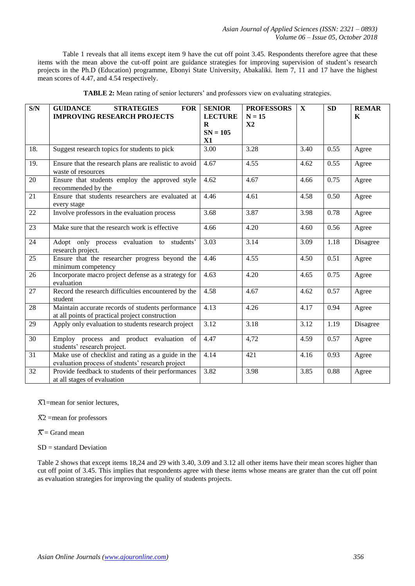Table 1 reveals that all items except item 9 have the cut off point 3.45. Respondents therefore agree that these items with the mean above the cut-off point are guidance strategies for improving supervision of student's research projects in the Ph.D (Education) programme, Ebonyi State University, Abakaliki. Item 7, 11 and 17 have the highest mean scores of 4.47, and 4.54 respectively.

| S/N | <b>GUIDANCE</b><br><b>FOR</b><br><b>STRATEGIES</b><br><b>IMPROVING RESEARCH PROJECTS</b>               | <b>SENIOR</b><br><b>LECTURE</b><br>$\bf{R}$<br>$SN = 105$<br>X1 | <b>PROFESSORS</b><br>$N = 15$<br>X2 | $\mathbf{X}$ | SD   | <b>REMAR</b><br>$\mathbf K$ |
|-----|--------------------------------------------------------------------------------------------------------|-----------------------------------------------------------------|-------------------------------------|--------------|------|-----------------------------|
| 18. | Suggest research topics for students to pick                                                           | 3.00                                                            | 3.28                                | 3.40         | 0.55 | Agree                       |
| 19. | Ensure that the research plans are realistic to avoid<br>waste of resources                            | 4.67                                                            | 4.55                                | 4.62         | 0.55 | Agree                       |
| 20  | Ensure that students employ the approved style<br>recommended by the                                   | 4.62                                                            | 4.67                                | 4.66         | 0.75 | Agree                       |
| 21  | Ensure that students researchers are evaluated at<br>every stage                                       | 4.46                                                            | 4.61                                | 4.58         | 0.50 | Agree                       |
| 22  | Involve professors in the evaluation process                                                           | 3.68                                                            | 3.87                                | 3.98         | 0.78 | Agree                       |
| 23  | Make sure that the research work is effective                                                          | 4.66                                                            | 4.20                                | 4.60         | 0.56 | Agree                       |
| 24  | Adopt only process evaluation to students'<br>research project.                                        | 3.03                                                            | 3.14                                | 3.09         | 1.18 | Disagree                    |
| 25  | Ensure that the researcher progress beyond the<br>minimum competency                                   | 4.46                                                            | 4.55                                | 4.50         | 0.51 | Agree                       |
| 26  | Incorporate macro project defense as a strategy for<br>evaluation                                      | 4.63                                                            | 4.20                                | 4.65         | 0.75 | Agree                       |
| 27  | Record the research difficulties encountered by the<br>student                                         | 4.58                                                            | 4.67                                | 4.62         | 0.57 | Agree                       |
| 28  | Maintain accurate records of students performance<br>at all points of practical project construction   | 4.13                                                            | 4.26                                | 4.17         | 0.94 | Agree                       |
| 29  | Apply only evaluation to students research project                                                     | 3.12                                                            | 3.18                                | 3.12         | 1.19 | Disagree                    |
| 30  | Employ process and product evaluation of<br>students' research project.                                | 4.47                                                            | 4,72                                | 4.59         | 0.57 | Agree                       |
| 31  | Make use of checklist and rating as a guide in the<br>evaluation process of students' research project | 4.14                                                            | 421                                 | 4.16         | 0.93 | Agree                       |
| 32  | Provide feedback to students of their performances<br>at all stages of evaluation                      | 3.82                                                            | 3.98                                | 3.85         | 0.88 | Agree                       |

**TABLE 2:** Mean rating of senior lecturers' and professors view on evaluating strategies.

 $\overline{X}$ 1=mean for senior lectures,

 $\overline{X}2$  =mean for professors

 $\overline{X}$  = Grand mean

 $SD = standard Deviation$ 

Table 2 shows that except items 18,24 and 29 with 3.40, 3.09 and 3.12 all other items have their mean scores higher than cut off point of 3.45. This implies that respondents agree with these items whose means are grater than the cut off point as evaluation strategies for improving the quality of students projects.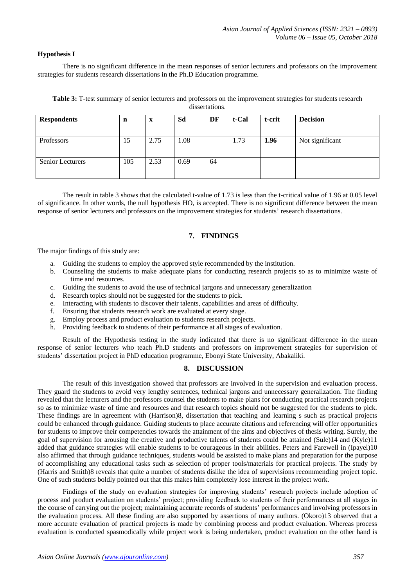#### **Hypothesis I**

There is no significant difference in the mean responses of senior lecturers and professors on the improvement strategies for students research dissertations in the Ph.D Education programme.

| Table 3: T-test summary of senior lecturers and professors on the improvement strategies for students research |                |  |  |
|----------------------------------------------------------------------------------------------------------------|----------------|--|--|
|                                                                                                                | dissertations. |  |  |

| <b>Respondents</b> | n   | $\mathbf x$ | Sd   | DF | t-Cal | t-crit | <b>Decision</b> |
|--------------------|-----|-------------|------|----|-------|--------|-----------------|
|                    |     |             |      |    |       |        |                 |
| Professors         | 15  | 2.75        | 1.08 |    | 1.73  | 1.96   | Not significant |
|                    |     |             |      |    |       |        |                 |
| Senior Lecturers   | 105 | 2.53        | 0.69 | 64 |       |        |                 |
|                    |     |             |      |    |       |        |                 |

The result in table 3 shows that the calculated t-value of 1.73 is less than the t-critical value of 1.96 at 0.05 level of significance. In other words, the null hypothesis HO, is accepted. There is no significant difference between the mean response of senior lecturers and professors on the improvement strategies for students' research dissertations.

# **7. FINDINGS**

The major findings of this study are:

- a. Guiding the students to employ the approved style recommended by the institution.
- b. Counseling the students to make adequate plans for conducting research projects so as to minimize waste of time and resources.
- c. Guiding the students to avoid the use of technical jargons and unnecessary generalization
- d. Research topics should not be suggested for the students to pick.
- e. Interacting with students to discover their talents, capabilities and areas of difficulty.
- f. Ensuring that students research work are evaluated at every stage.
- g. Employ process and product evaluation to students research projects.
- h. Providing feedback to students of their performance at all stages of evaluation.

Result of the Hypothesis testing in the study indicated that there is no significant difference in the mean response of senior lecturers who teach Ph.D students and professors on improvement strategies for supervision of students' dissertation project in PhD education programme, Ebonyi State University, Abakaliki.

#### **8. DISCUSSION**

The result of this investigation showed that professors are involved in the supervision and evaluation process. They guard the students to avoid very lengthy sentences, technical jargons and unnecessary generalization. The finding revealed that the lecturers and the professors counsel the students to make plans for conducting practical research projects so as to minimize waste of time and resources and that research topics should not be suggested for the students to pick. These findings are in agreement with (Harrison)8, dissertation that teaching and learning s such as practical projects could be enhanced through guidance. Guiding students to place accurate citations and referencing will offer opportunities for students to improve their competencies towards the attainment of the aims and objectives of thesis writing. Surely, the goal of supervision for arousing the creative and productive talents of students could be attained (Sule)14 and (Kyle)11 added that guidance strategies will enable students to be courageous in their abilities. Peters and Farewell in (Ipayel)10 also affirmed that through guidance techniques, students would be assisted to make plans and preparation for the purpose of accomplishing any educational tasks such as selection of proper tools/materials for practical projects. The study by (Harris and Smith)8 reveals that quite a number of students dislike the idea of supervisions recommending project topic. One of such students boldly pointed out that this makes him completely lose interest in the project work.

Findings of the study on evaluation strategies for improving students' research projects include adoption of process and product evaluation on students' project; providing feedback to students of their performances at all stages in the course of carrying out the project; maintaining accurate records of students' performances and involving professors in the evaluation process. All these finding are also supported by assertions of many authors. (Okoro)13 observed that a more accurate evaluation of practical projects is made by combining process and product evaluation. Whereas process evaluation is conducted spasmodically while project work is being undertaken, product evaluation on the other hand is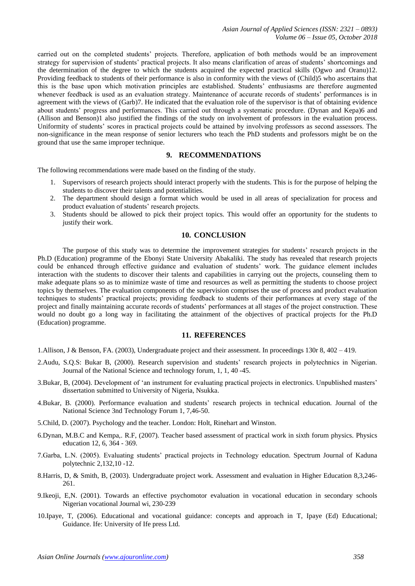carried out on the completed students' projects. Therefore, application of both methods would be an improvement strategy for supervision of students' practical projects. It also means clarification of areas of students' shortcomings and the determination of the degree to which the students acquired the expected practical skills (Ogwo and Oranu)12. Providing feedback to students of their performance is also in conformity with the views of (Child)5 who ascertains that this is the base upon which motivation principles are established. Students' enthusiasms are therefore augmented whenever feedback is used as an evaluation strategy. Maintenance of accurate records of students' performances is in agreement with the views of (Garb)7. He indicated that the evaluation role of the supervisor is that of obtaining evidence about students' progress and performances. This carried out through a systematic procedure. (Dynan and Kepa)6 and (Allison and Benson)1 also justified the findings of the study on involvement of professors in the evaluation process. Uniformity of students' scores in practical projects could be attained by involving professors as second assessors. The non-significance in the mean response of senior lecturers who teach the PhD students and professors might be on the ground that use the same improper technique.

## **9. RECOMMENDATIONS**

The following recommendations were made based on the finding of the study.

- 1. Supervisors of research projects should interact properly with the students. This is for the purpose of helping the students to discover their talents and potentialities.
- 2. The department should design a format which would be used in all areas of specialization for process and product evaluation of students' research projects.
- 3. Students should be allowed to pick their project topics. This would offer an opportunity for the students to justify their work.

## **10. CONCLUSION**

The purpose of this study was to determine the improvement strategies for students' research projects in the Ph.D (Education) programme of the Ebonyi State University Abakaliki. The study has revealed that research projects could be enhanced through effective guidance and evaluation of students' work. The guidance element includes interaction with the students to discover their talents and capabilities in carrying out the projects, counseling them to make adequate plans so as to minimize waste of time and resources as well as permitting the students to choose project topics by themselves. The evaluation components of the supervision comprises the use of process and product evaluation techniques to students' practical projects; providing feedback to students of their performances at every stage of the project and finally maintaining accurate records of students' performances at all stages of the project construction. These would no doubt go a long way in facilitating the attainment of the objectives of practical projects for the Ph.D (Education) programme.

## **11. REFERENCES**

1.Allison, J & Benson, FA. (2003), Undergraduate project and their assessment. In proceedings 130r 8, 402 – 419.

- 2.Audu, S.Q.S: Bukar B, (2000). Research supervision and students' research projects in polytechnics in Nigerian. Journal of the National Science and technology forum, 1, 1, 40 -45.
- 3.Bukar, B, (2004). Development of 'an instrument for evaluating practical projects in electronics. Unpublished masters' dissertation submitted to University of Nigeria, Nsukka.
- 4.Bukar, B. (2000). Performance evaluation and students' research projects in technical education. Journal of the National Science 3nd Technology Forum 1, 7,46-50.
- 5.Child, D. (2007). Psychology and the teacher. London: Holt, Rinehart and Winston.
- 6.Dynan, M.B.C and Kempa,. R.F, (2007). Teacher based assessment of practical work in sixth forum physics. Physics education 12, 6, 364 - 369.
- 7.Garba, L.N. (2005). Evaluating students' practical projects in Technology education. Spectrum Journal of Kaduna polytechnic 2,132,10 -12.
- 8.Harris, D, & Smith, B, (2003). Undergraduate project work. Assessment and evaluation in Higher Education 8,3,246- 261.
- 9.Ikeoji, E,N. (2001). Towards an effective psychomotor evaluation in vocational education in secondary schools Nigerian vocational Journal wi, 230-239
- 10.Ipaye, T, (2006). Educational and vocational guidance: concepts and approach in T, Ipaye (Ed) Educational; Guidance. Ife: University of Ife press Ltd.